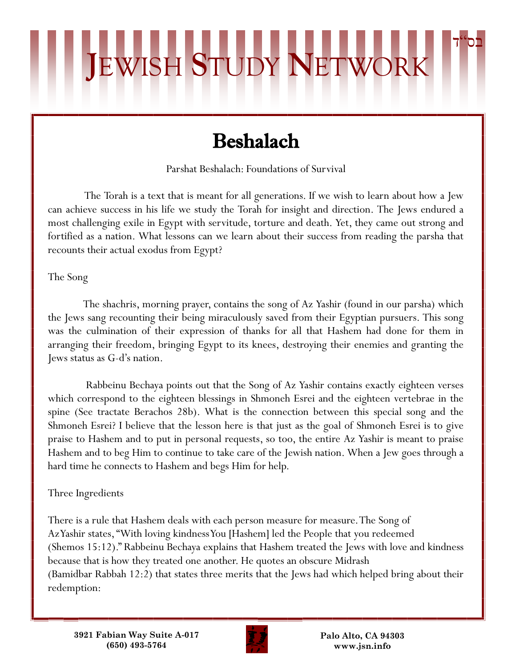## Beshalach

**J**EWISH **S**TUDY **N**ETWORK

Parshat Beshalach: Foundations of Survival

 The Torah is a text that is meant for all generations. If we wish to learn about how a Jew can achieve success in his life we study the Torah for insight and direction. The Jews endured a most challenging exile in Egypt with servitude, torture and death. Yet, they came out strong and fortified as a nation. What lessons can we learn about their success from reading the parsha that recounts their actual exodus from Egypt?

The Song

 The shachris, morning prayer, contains the song of Az Yashir (found in our parsha) which the Jews sang recounting their being miraculously saved from their Egyptian pursuers. This song was the culmination of their expression of thanks for all that Hashem had done for them in arranging their freedom, bringing Egypt to its knees, destroying their enemies and granting the Jews status as G-d's nation.

 Rabbeinu Bechaya points out that the Song of Az Yashir contains exactly eighteen verses which correspond to the eighteen blessings in Shmoneh Esrei and the eighteen vertebrae in the spine (See tractate Berachos 28b). What is the connection between this special song and the Shmoneh Esrei? I believe that the lesson here is that just as the goal of Shmoneh Esrei is to give praise to Hashem and to put in personal requests, so too, the entire Az Yashir is meant to praise Hashem and to beg Him to continue to take care of the Jewish nation. When a Jew goes through a hard time he connects to Hashem and begs Him for help.

## Three Ingredients

There is a rule that Hashem deals with each person measure for measure. The Song of Az Yashir states, "With loving kindness You [Hashem] led the People that you redeemed (Shemos 15:12)." Rabbeinu Bechaya explains that Hashem treated the Jews with love and kindness because that is how they treated one another. He quotes an obscure Midrash (Bamidbar Rabbah 12:2) that states three merits that the Jews had which helped bring about their redemption:



**Palo Alto, CA 94303 www.jsn.info**

בס"ד